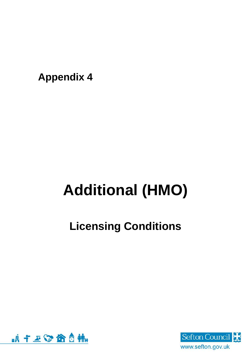**Appendix 4**

# **Additional (HMO)**

## **Licensing Conditions**



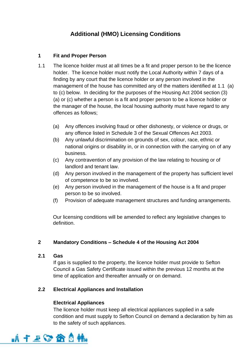### **Additional (HMO) Licensing Conditions**

#### **1 Fit and Proper Person**

- 1.1 The licence holder must at all times be a fit and proper person to be the licence holder. The licence holder must notify the Local Authority within 7 days of a finding by any court that the licence holder or any person involved in the management of the house has committed any of the matters identified at 1.1 (a) to (c) below. In deciding for the purposes of the Housing Act 2004 section (3) (a) or (c) whether a person is a fit and proper person to be a licence holder or the manager of the house, the local housing authority must have regard to any offences as follows;
	- (a) Any offences involving fraud or other dishonesty, or violence or drugs, or any offence listed in Schedule 3 of the Sexual Offences Act 2003.
	- (b) Any unlawful discrimination on grounds of sex, colour, race, ethnic or national origins or disability in, or in connection with the carrying on of any business.
	- (c) Any contravention of any provision of the law relating to housing or of landlord and tenant law.
	- (d) Any person involved in the management of the property has sufficient level of competence to be so involved.
	- (e) Any person involved in the management of the house is a fit and proper person to be so involved.
	- (f) Provision of adequate management structures and funding arrangements.

Our licensing conditions will be amended to reflect any legislative changes to definition.

#### **2 Mandatory Conditions – Schedule 4 of the Housing Act 2004**

#### **2.1 Gas**

If gas is supplied to the property, the licence holder must provide to Sefton Council a Gas Safety Certificate issued within the previous 12 months at the time of application and thereafter annually or on demand.

#### **2.2 Electrical Appliances and Installation**

#### **Electrical Appliances**

The licence holder must keep all electrical appliances supplied in a safe condition and must supply to Sefton Council on demand a declaration by him as to the safety of such appliances.

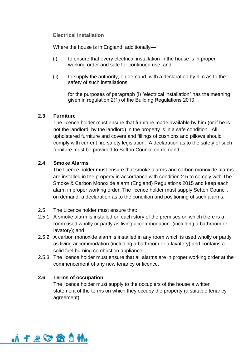**Electrical Installation**

Where the house is in England, additionally—

- (i) to ensure that every electrical installation in the house is in proper working order and safe for continued use; and
- (ii) to supply the authority, on demand, with a declaration by him as to the safety of such installations;

for the purposes of paragraph (i) "electrical installation" has the meaning given in regulation 2(1) of the Building Regulations 2010.".

#### **2.3 Furniture**

The licence holder must ensure that furniture made available by him (or if he is not the landlord, by the landlord) in the property is in a safe condition. All upholstered furniture and covers and fillings of cushions and pillows should comply with current fire safety legislation. A declaration as to the safety of such furniture must be provided to Sefton Council on demand.

#### **2.4 Smoke Alarms**

The licence holder must ensure that smoke alarms and carbon monoxide alarms are installed in the property in accordance with condition 2.5 to comply with The Smoke & Carbon Monoxide alarm (England) Regulations 2015 and keep each alarm in proper working order. The licence holder must supply Sefton Council, on demand, a declaration as to the condition and positioning of such alarms.

- 2.5 The Licence holder must ensure that:
- 2.5.1 A smoke alarm is installed on each story of the premises on which there is a room used wholly or partly as living accommodation (including a bathroom or lavatory); and
- 2.5.2 A carbon monoxide alarm is installed in any room which is used wholly or partly as living accommodation (including a bathroom or a lavatory) and contains a solid fuel burning combustion appliance.
- 2.5.3 The licence holder must ensure that all alarms are in proper working order at the commencement of any new tenancy or licence.

#### **2.6 Terms of occupation**

The licence holder must supply to the occupiers of the house a written statement of the terms on which they occupy the property (a suitable tenancy agreement).

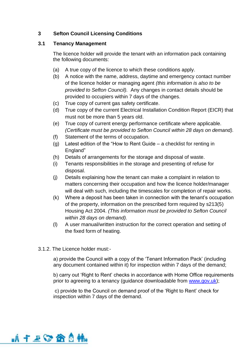#### **3 Sefton Council Licensing Conditions**

#### **3.1 Tenancy Management**

The licence holder will provide the tenant with an information pack containing the following documents:

- (a) A true copy of the licence to which these conditions apply.
- (b) A notice with the name, address, daytime and emergency contact number of the licence holder or managing agent *(this information is also to be provided to Sefton Council).* Any changes in contact details should be provided to occupiers within 7 days of the changes.
- (c) True copy of current gas safety certificate.
- (d) True copy of the current Electrical Installation Condition Report (EICR) that must not be more than 5 years old.
- (e) True copy of current energy performance certificate where applicable. *(Certificate must be provided to Sefton Council within 28 days on demand).*
- (f) Statement of the terms of occupation.
- (g) Latest edition of the "How to Rent Guide a checklist for renting in England"
- (h) Details of arrangements for the storage and disposal of waste.
- (i) Tenants responsibilities in the storage and presenting of refuse for disposal.
- (j) Details explaining how the tenant can make a complaint in relation to matters concerning their occupation and how the licence holder/manager will deal with such, including the timescales for completion of repair works.
- (k) Where a deposit has been taken in connection with the tenant's occupation of the property, information on the prescribed form required by s213(5) Housing Act 2004. *(This information must be provided to Sefton Council within 28 days on demand).*
- (l) A user manual/written instruction for the correct operation and setting of the fixed form of heating.
- 3.1.2. The Licence holder must:-

a) provide the Council with a copy of the 'Tenant Information Pack' (including any document contained within it) for inspection within 7 days of the demand;

b) carry out 'Right to Rent' checks in accordance with Home Office requirements prior to agreeing to a tenancy (guidance downloadable from [www.gov.uk\)](http://www.gov.uk/);

c) provide to the Council on demand proof of the 'Right to Rent' check for inspection within 7 days of the demand.

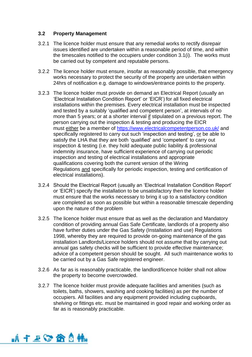#### **3.2 Property Management**

- 3.2.1 The licence holder must ensure that any remedial works to rectify disrepair issues identified are undertaken within a reasonable period of time, and within the timescales notified to the occupiers under condition 3.1(i). The works must be carried out by competent and reputable persons.
- 3.2.2 The licence holder must ensure, insofar as reasonably possible, that emergency works necessary to protect the security of the property are undertaken within 24hrs of notification e.g. damage to windows/entrance points to the property.
- 3.2.3 The licence holder must provide on demand an Electrical Report (usually an 'Electrical Installation Condition Report' or 'EICR') for all fixed electrical installations within the premises. Every electrical installation must be inspected and tested by a suitably 'qualified and competent person', at intervals of no more than 5 years; or at a shorter interval if stipulated on a previous report. The person carrying out the inspection & testing and producing the EICR must either be a member of <https://www.electricalcompetentperson.co.uk/> and specifically registered to carry out such 'inspection and testing', or be able to satisfy the LHA that they are both 'qualified' and 'competent' to carry out inspection & testing (i.e. they hold adequate public liability & professional indemnity insurance, have sufficient experience of carrying out periodic inspection and testing of electrical installations and appropriate qualifications covering both the current version of the Wiring Regulations and specifically for periodic inspection, testing and certification of electrical installations).
- 3.2.4 Should the Electrical Report (usually an 'Electrical Installation Condition Report' or 'EICR') specify the installation to be unsatisfactory then the licence holder must ensure that the works necessary to bring it up to a satisfactory condition are completed as soon as possible but within a reasonable timescale depending upon the nature of the problem
- 3.2.5 The licence holder must ensure that as well as the declaration and Mandatory condition of providing annual Gas Safe Certificate, landlords of a property also have further duties under the Gas Safety (Installation and use) Regulations 1998, whereby they are required to provide on-going maintenance of the gas installation Landlords/Licence holders should not assume that by carrying out annual gas safety checks will be sufficient to provide effective maintenance; advice of a competent person should be sought. All such maintenance works to be carried out by a Gas Safe registered engineer.
- 3.2.6 As far as is reasonably practicable, the landlord/licence holder shall not allow the property to become overcrowded.
- 3.2.7 The licence holder must provide adequate facilities and amenities (such as toilets, baths, showers, washing and cooking facilities) as per the number of occupiers. All facilities and any equipment provided including cupboards, shelving or fittings etc. must be maintained in good repair and working order as far as is reasonably practicable.

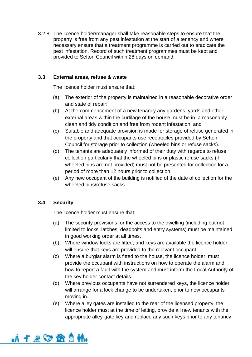3.2.8 The licence holder/manager shall take reasonable steps to ensure that the property is free from any pest infestation at the start of a tenancy and where necessary ensure that a treatment programme is carried out to eradicate the pest infestation. Record of such treatment programmes must be kept and provided to Sefton Council within 28 days on demand.

#### **3.3 External areas, refuse & waste**

The licence holder must ensure that:

- (a) The exterior of the property is maintained in a reasonable decorative order and state of repair;
- (b) At the commencement of a new tenancy any gardens, yards and other external areas within the curtilage of the house must be in a reasonably clean and tidy condition and free from rodent infestation, and
- (c) Suitable and adequate provision is made for storage of refuse generated in the property and that occupants use receptacles provided by Sefton Council for storage prior to collection (wheeled bins or refuse sacks).
- (d) The tenants are adequately informed of their duty with regards to refuse collection particularly that the wheeled bins or plastic refuse sacks (if wheeled bins are not provided) must not be presented for collection for a period of more than 12 hours prior to collection.
- (e) Any new occupant of the building is notified of the date of collection for the wheeled bins/refuse sacks.

#### **3.4 Security**

The licence holder must ensure that:

- (a) The security provisions for the access to the dwelling (including but not limited to locks, latches, deadbolts and entry systems) must be maintained in good working order at all times.
- (b) Where window locks are fitted, and keys are available the licence holder will ensure that keys are provided to the relevant occupant.
- (c) Where a burglar alarm is fitted to the house, the licence holder must provide the occupant with instructions on how to operate the alarm and how to report a fault with the system and must inform the Local Authority of the key holder contact details.
- (d) Where previous occupants have not surrendered keys, the licence holder will arrange for a lock change to be undertaken, prior to new occupants moving in.
- (e) Where alley gates are installed to the rear of the licensed property, the licence holder must at the time of letting, provide all new tenants with the appropriate alley-gate key and replace any such keys prior to any tenancy

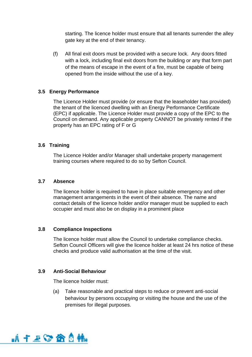starting. The licence holder must ensure that all tenants surrender the alley gate key at the end of their tenancy.

(f) All final exit doors must be provided with a secure lock. Any doors fitted with a lock, including final exit doors from the building or any that form part of the means of escape in the event of a fire, must be capable of being opened from the inside without the use of a key.

#### **3.5 Energy Performance**

The Licence Holder must provide (or ensure that the leaseholder has provided) the tenant of the licenced dwelling with an Energy Performance Certificate (EPC) if applicable. The Licence Holder must provide a copy of the EPC to the Council on demand. Any applicable property CANNOT be privately rented if the property has an EPC rating of F or G

#### **3.6 Training**

The Licence Holder and/or Manager shall undertake property management training courses where required to do so by Sefton Council.

#### **3.7 Absence**

The licence holder is required to have in place suitable emergency and other management arrangements in the event of their absence. The name and contact details of the licence holder and/or manager must be supplied to each occupier and must also be on display in a prominent place

#### **3.8 Compliance Inspections**

The licence holder must allow the Council to undertake compliance checks. Sefton Council Officers will give the licence holder at least 24 hrs notice of these checks and produce valid authorisation at the time of the visit.

#### **3.9 Anti-Social Behaviour**

The licence holder must:

(a) Take reasonable and practical steps to reduce or prevent anti-social behaviour by persons occupying or visiting the house and the use of the premises for illegal purposes.

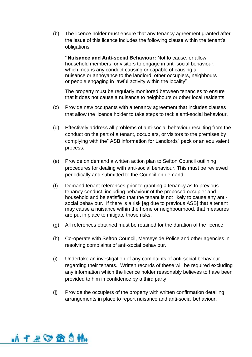(b) The licence holder must ensure that any tenancy agreement granted after the issue of this licence includes the following clause within the tenant's obligations:

**"Nuisance and Anti-social Behaviour:** Not to cause, or allow household members, or visitors to engage in anti-social behaviour, which means any conduct causing or capable of causing a nuisance or annoyance to the landlord, other occupiers, neighbours or people engaging in lawful activity within the locality"

The property must be regularly monitored between tenancies to ensure that it does not cause a nuisance to neighbours or other local residents.

- (c) Provide new occupants with a tenancy agreement that includes clauses that allow the licence holder to take steps to tackle anti-social behaviour.
- (d) Effectively address all problems of anti-social behaviour resulting from the conduct on the part of a tenant, occupiers, or visitors to the premises by complying with the" ASB information for Landlords" pack or an equivalent process.
- (e) Provide on demand a written action plan to Sefton Council outlining procedures for dealing with anti-social behaviour. This must be reviewed periodically and submitted to the Council on demand.
- (f) Demand tenant references prior to granting a tenancy as to previous tenancy conduct, including behaviour of the proposed occupier and household and be satisfied that the tenant is not likely to cause any antisocial behaviour. If there is a risk [eg due to previous ASB] that a tenant may cause a nuisance within the home or neighbourhood, that measures are put in place to mitigate those risks.
- (g) All references obtained must be retained for the duration of the licence.
- (h) Co-operate with Sefton Council, Merseyside Police and other agencies in resolving complaints of anti-social behaviour.
- (i) Undertake an investigation of any complaints of anti-social behaviour regarding their tenants. Written records of these will be required excluding any information which the licence holder reasonably believes to have been provided to him in confidence by a third party.
- (j) Provide the occupiers of the property with written confirmation detailing arrangements in place to report nuisance and anti-social behaviour.